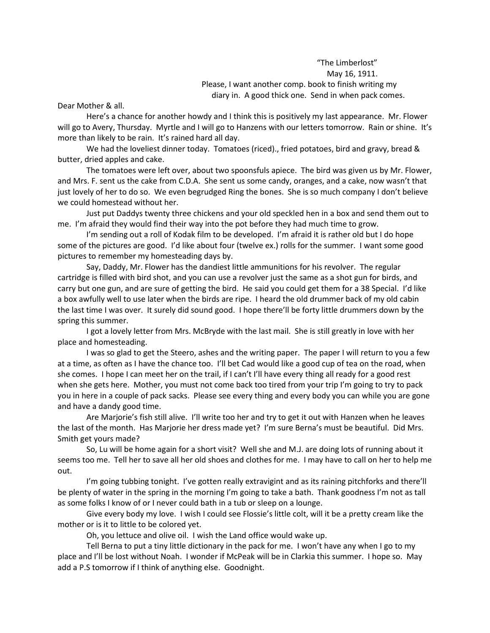"The Limberlost" May 16, 1911. Please, I want another comp. book to finish writing my diary in. A good thick one. Send in when pack comes.

Dear Mother & all.

Here's a chance for another howdy and I think this is positively my last appearance. Mr. Flower will go to Avery, Thursday. Myrtle and I will go to Hanzens with our letters tomorrow. Rain or shine. It's more than likely to be rain. It's rained hard all day.

We had the loveliest dinner today. Tomatoes (riced)., fried potatoes, bird and gravy, bread & butter, dried apples and cake.

The tomatoes were left over, about two spoonsfuls apiece. The bird was given us by Mr. Flower, and Mrs. F. sent us the cake from C.D.A. She sent us some candy, oranges, and a cake, now wasn't that just lovely of her to do so. We even begrudged Ring the bones. She is so much company I don't believe we could homestead without her.

Just put Daddys twenty three chickens and your old speckled hen in a box and send them out to me. I'm afraid they would find their way into the pot before they had much time to grow.

I'm sending out a roll of Kodak film to be developed. I'm afraid it is rather old but I do hope some of the pictures are good. I'd like about four (twelve ex.) rolls for the summer. I want some good pictures to remember my homesteading days by.

Say, Daddy, Mr. Flower has the dandiest little ammunitions for his revolver. The regular cartridge is filled with bird shot, and you can use a revolver just the same as a shot gun for birds, and carry but one gun, and are sure of getting the bird. He said you could get them for a 38 Special. I'd like a box awfully well to use later when the birds are ripe. I heard the old drummer back of my old cabin the last time I was over. It surely did sound good. I hope there'll be forty little drummers down by the spring this summer.

I got a lovely letter from Mrs. McBryde with the last mail. She is still greatly in love with her place and homesteading.

I was so glad to get the Steero, ashes and the writing paper. The paper I will return to you a few at a time, as often as I have the chance too. I'll bet Cad would like a good cup of tea on the road, when she comes. I hope I can meet her on the trail, if I can't I'll have every thing all ready for a good rest when she gets here. Mother, you must not come back too tired from your trip I'm going to try to pack you in here in a couple of pack sacks. Please see every thing and every body you can while you are gone and have a dandy good time.

Are Marjorie's fish still alive. I'll write too her and try to get it out with Hanzen when he leaves the last of the month. Has Marjorie her dress made yet? I'm sure Berna's must be beautiful. Did Mrs. Smith get yours made?

So, Lu will be home again for a short visit? Well she and M.J. are doing lots of running about it seems too me. Tell her to save all her old shoes and clothes for me. I may have to call on her to help me out.

I'm going tubbing tonight. I've gotten really extravigint and as its raining pitchforks and there'll be plenty of water in the spring in the morning I'm going to take a bath. Thank goodness I'm not as tall as some folks I know of or I never could bath in a tub or sleep on a lounge.

Give every body my love. I wish I could see Flossie's little colt, will it be a pretty cream like the mother or is it to little to be colored yet.

Oh, you lettuce and olive oil. I wish the Land office would wake up.

Tell Berna to put a tiny little dictionary in the pack for me. I won't have any when I go to my place and I'll be lost without Noah. I wonder if McPeak will be in Clarkia this summer. I hope so. May add a P.S tomorrow if I think of anything else. Goodnight.